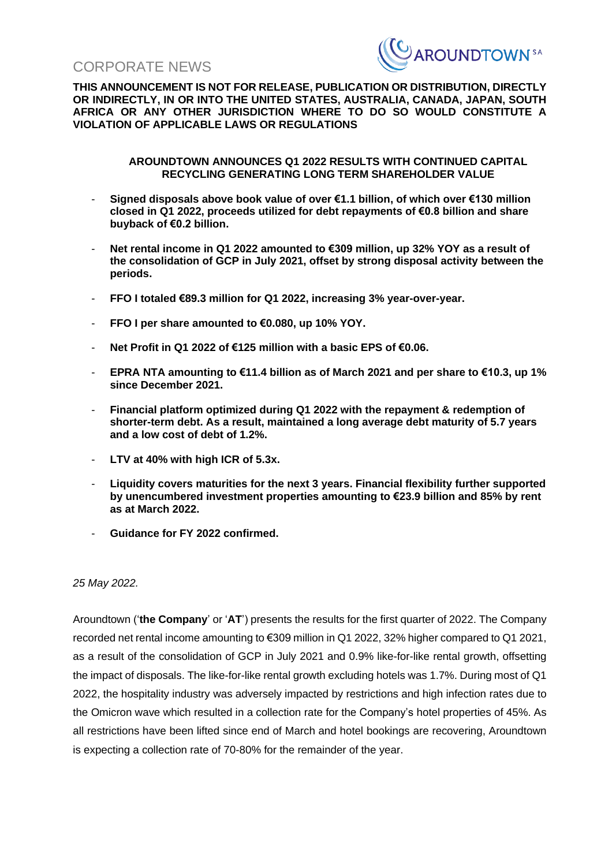CORPORATE NEWS



**THIS ANNOUNCEMENT IS NOT FOR RELEASE, PUBLICATION OR DISTRIBUTION, DIRECTLY OR INDIRECTLY, IN OR INTO THE UNITED STATES, AUSTRALIA, CANADA, JAPAN, SOUTH AFRICA OR ANY OTHER JURISDICTION WHERE TO DO SO WOULD CONSTITUTE A VIOLATION OF APPLICABLE LAWS OR REGULATIONS**

#### **AROUNDTOWN ANNOUNCES Q1 2022 RESULTS WITH CONTINUED CAPITAL RECYCLING GENERATING LONG TERM SHAREHOLDER VALUE**

- **Signed disposals above book value of over €1.1 billion, of which over €130 million closed in Q1 2022, proceeds utilized for debt repayments of €0.8 billion and share buyback of €0.2 billion.**
- **Net rental income in Q1 2022 amounted to €309 million, up 32% YOY as a result of the consolidation of GCP in July 2021, offset by strong disposal activity between the periods.**
- **FFO I totaled €89.3 million for Q1 2022, increasing 3% year-over-year.**
- **FFO I per share amounted to €0.080, up 10% YOY.**
- **Net Profit in Q1 2022 of €125 million with a basic EPS of €0.06.**
- **EPRA NTA amounting to €11.4 billion as of March 2021 and per share to €10.3, up 1% since December 2021.**
- **Financial platform optimized during Q1 2022 with the repayment & redemption of shorter-term debt. As a result, maintained a long average debt maturity of 5.7 years and a low cost of debt of 1.2%.**
- **LTV at 40% with high ICR of 5.3x.**
- **Liquidity covers maturities for the next 3 years. Financial flexibility further supported by unencumbered investment properties amounting to €23.9 billion and 85% by rent as at March 2022.**
- **Guidance for FY 2022 confirmed.**

*25 May 2022.*

Aroundtown ('**the Company**' or '**AT**') presents the results for the first quarter of 2022. The Company recorded net rental income amounting to €309 million in Q1 2022, 32% higher compared to Q1 2021, as a result of the consolidation of GCP in July 2021 and 0.9% like-for-like rental growth, offsetting the impact of disposals. The like-for-like rental growth excluding hotels was 1.7%. During most of Q1 2022, the hospitality industry was adversely impacted by restrictions and high infection rates due to the Omicron wave which resulted in a collection rate for the Company's hotel properties of 45%. As all restrictions have been lifted since end of March and hotel bookings are recovering, Aroundtown is expecting a collection rate of 70-80% for the remainder of the year.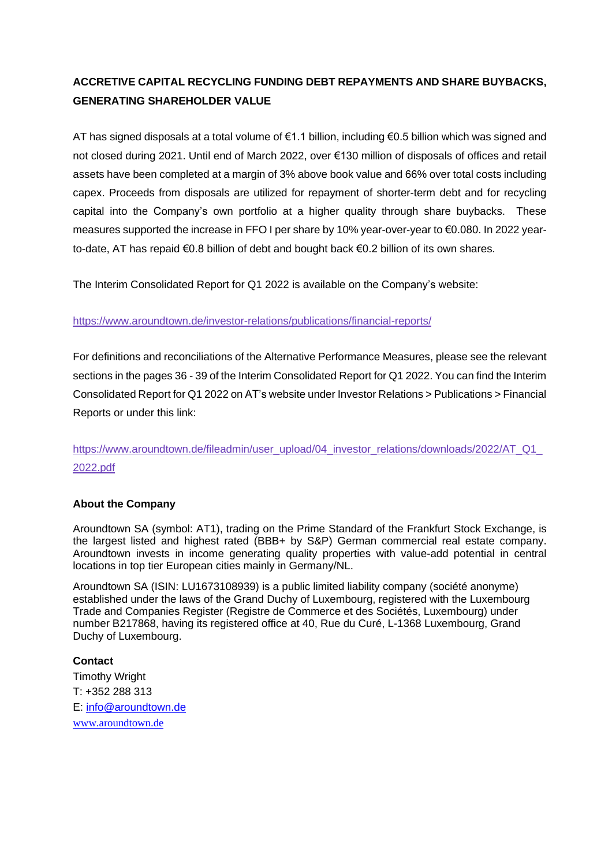# **ACCRETIVE CAPITAL RECYCLING FUNDING DEBT REPAYMENTS AND SHARE BUYBACKS, GENERATING SHAREHOLDER VALUE**

AT has signed disposals at a total volume of €1.1 billion, including €0.5 billion which was signed and not closed during 2021. Until end of March 2022, over €130 million of disposals of offices and retail assets have been completed at a margin of 3% above book value and 66% over total costs including capex. Proceeds from disposals are utilized for repayment of shorter-term debt and for recycling capital into the Company's own portfolio at a higher quality through share buybacks. These measures supported the increase in FFO I per share by 10% year-over-year to €0.080. In 2022 yearto-date, AT has repaid €0.8 billion of debt and bought back €0.2 billion of its own shares.

The Interim Consolidated Report for Q1 2022 is available on the Company's website:

## <https://www.aroundtown.de/investor-relations/publications/financial-reports/>

For definitions and reconciliations of the Alternative Performance Measures, please see the relevant sections in the pages 36 - 39 of the Interim Consolidated Report for Q1 2022. You can find the Interim Consolidated Report for Q1 2022 on AT's website under Investor Relations > Publications > Financial Reports or under this link:

https://www.aroundtown.de/fileadmin/user\_upload/04\_investor\_relations/downloads/2022/AT\_Q1 [2022.pdf](https://www.aroundtown.de/fileadmin/user_upload/04_investor_relations/downloads/2022/AT_Q1_2022.pdf)

#### **About the Company**

Aroundtown SA (symbol: AT1), trading on the Prime Standard of the Frankfurt Stock Exchange, is the largest listed and highest rated (BBB+ by S&P) German commercial real estate company. Aroundtown invests in income generating quality properties with value-add potential in central locations in top tier European cities mainly in Germany/NL.

Aroundtown SA (ISIN: LU1673108939) is a public limited liability company (société anonyme) established under the laws of the Grand Duchy of Luxembourg, registered with the Luxembourg Trade and Companies Register (Registre de Commerce et des Sociétés, Luxembourg) under number B217868, having its registered office at 40, Rue du Curé, L-1368 Luxembourg, Grand Duchy of Luxembourg.

**Contact** Timothy Wright T: +352 288 313 E: [info@aroundtown.de](mailto:info@aroundtown.de) [www.aroundtown.de](https://www.aroundtown.de/)